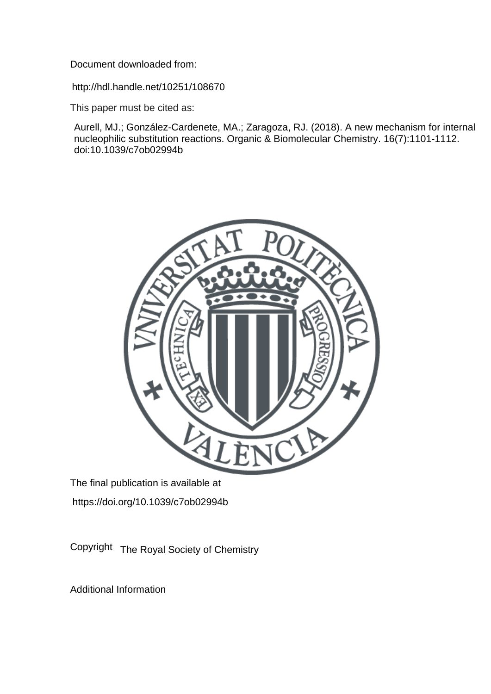Document downloaded from:

http://hdl.handle.net/10251/108670

This paper must be cited as:

Aurell, MJ.; González-Cardenete, MA.; Zaragoza, RJ. (2018). A new mechanism for internal nucleophilic substitution reactions. Organic & Biomolecular Chemistry. 16(7):1101-1112. doi:10.1039/c7ob02994b



The final publication is available at https://doi.org/10.1039/c7ob02994b

Copyright The Royal Society of Chemistry

Additional Information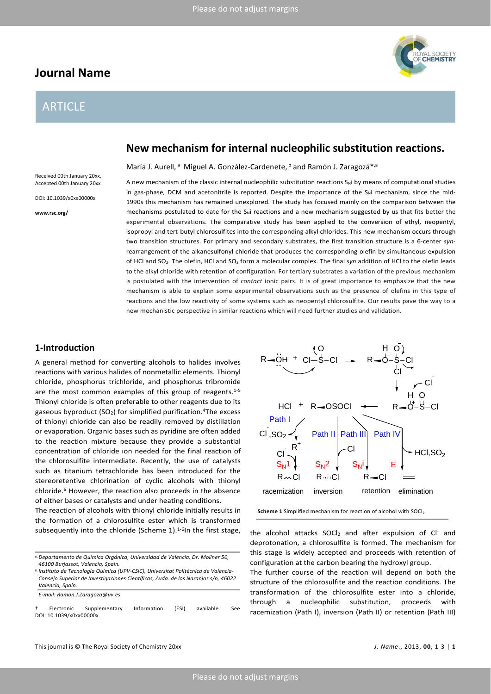# **Journal Name**

# ARTICLE

Received 00th January 20xx, Accepted 00th January 20xx

DOI: 10.1039/x0xx00000x

**www.rsc.org/**

# **New mechanism for internal nucleophilic substitution reactions.**

María J. Aurell,<sup>a</sup> Miguel A. González-Cardenete, <sup>b</sup> and Ramón J. Zaragozá<sup>\*,a</sup>

A new mechanism of the classic internal nucleophilic substitution reactions S<sub>N</sub>i by means of computational studies in gas-phase, DCM and acetonitrile is reported. Despite the importance of the S<sub>N</sub>i mechanism, since the mid-1990s this mechanism has remained unexplored. The study has focused mainly on the comparison between the mechanisms postulated to date for the S<sub>N</sub>i reactions and a new mechanism suggested by us that fits better the experimental observations. The comparative study has been applied to the conversion of ethyl, neopentyl, isopropyl and tert-butyl chlorosulfites into the corresponding alkyl chlorides. This new mechanism occurs through two transition structures. For primary and secondary substrates, the first transition structure is a 6-center *syn*rearrangement of the alkanesulfonyl chloride that produces the corresponding olefin by simultaneous expulsion of HCl and SO2. The olefin, HCl and SO2 form a molecular complex. The final *syn* addition of HCl to the olefin leads to the alkyl chloride with retention of configuration. For tertiary substrates a variation of the previous mechanism is postulated with the intervention of *contact* ionic pairs. It is of great importance to emphasize that the new mechanism is able to explain some experimental observations such as the presence of olefins in this type of reactions and the low reactivity of some systems such as neopentyl chlorosulfite. Our results pave the way to a new mechanistic perspective in similar reactions which will need further studies and validation.

# **1-Introduction**

A general method for converting alcohols to halides involves reactions with various halides of nonmetallic elements. Thionyl chloride, phosphorus trichloride, and phosphorus tribromide are the most common examples of this group of reagents.<sup>1-5</sup> Thionyl chloride is often preferable to other reagents due to its gaseous byproduct  $(SO<sub>2</sub>)$  for simplified purification.<sup>4</sup>The excess of thionyl chloride can also be readily removed by distillation or evaporation. Organic bases such as pyridine are often added to the reaction mixture because they provide a substantial concentration of chloride ion needed for the final reaction of the chlorosulfite intermediate. Recently, the use of catalysts such as titanium tetrachloride has been introduced for the stereoretentive chlorination of cyclic alcohols with thionyl chloride.6 However, the reaction also proceeds in the absence of either bases or catalysts and under heating conditions.

The reaction of alcohols with thionyl chloride initially results in the formation of a chlorosulfite ester which is transformed subsequently into the chloride (Scheme 1).<sup>1-6</sup>In the first stage, the alcohol attacks SOCl<sub>2</sub> and after expulsion of Cl<sup>-</sup> and

*b.Instituto de Tecnología Química (UPV-CSIC), Universitat Politècnica de Valencia-Consejo Superior de Investigaciones Científicas, Avda. de los Naranjos s/n, 46022 Valencia, Spain.*

*E-mail: Ramon.J.Zaragoza@uv.es*

† Electronic Supplementary Information (ESI) available. See DOI: 10.1039/x0xx00000x

O

H

Cl



 $CI-S-CI$ O  $R = OH + CI - S - CI \rightarrow R = 0 - S$ 

**Scheme 1** Simplified mechanism for reaction of alcohol with SOCl<sub>2</sub>

deprotonation, a chlorosulfite is formed. The mechanism for this stage is widely accepted and proceeds with retention of configuration at the carbon bearing the hydroxyl group.

The further course of the reaction will depend on both the structure of the chlorosulfite and the reaction conditions. The transformation of the chlorosulfite ester into a chloride, through a nucleophilic substitution, proceeds with racemization (Path I), inversion (Path II) or retention (Path III)



*a.Departamento de Química Orgánica, Universidad de Valencia, Dr. Moliner 50, 46100 Burjassot, Valencia, Spain.*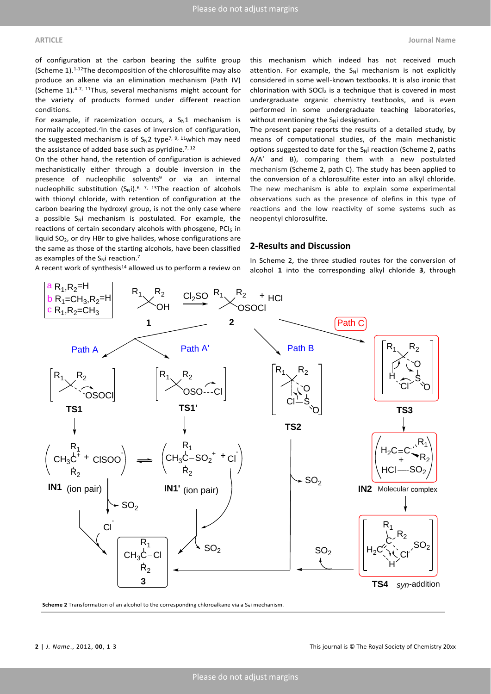of configuration at the carbon bearing the sulfite group (Scheme 1).1-12The decomposition of the chlorosulfite may also produce an alkene via an elimination mechanism (Path IV) (Scheme 1).4-7, 11Thus, several mechanisms might account for the variety of products formed under different reaction conditions.

For example, if racemization occurs, a  $S_N1$  mechanism is normally accepted.7In the cases of inversion of configuration, the suggested mechanism is of  $S_N2$  type<sup>7, 9, 11</sup>which may need the assistance of added base such as pyridine.<sup>7, 12</sup>

On the other hand, the retention of configuration is achieved mechanistically either through a double inversion in the presence of nucleophilic solvents<sup>9</sup> or via an internal nucleophilic substitution  $(S_Ni)$ .<sup>6, 7, 13</sup>The reaction of alcohols with thionyl chloride, with retention of configuration at the carbon bearing the hydroxyl group, is not the only case where a possible  $S_N$  mechanism is postulated. For example, the reactions of certain secondary alcohols with phosgene, PCI<sub>5</sub> in liquid SO2, or dry HBr to give halides, whose configurations are the same as those of the starting alcohols, have been classified as examples of the  $S_N$ i reaction.<sup>7</sup>

this mechanism which indeed has not received much attention. For example, the  $S_Ni$  mechanism is not explicitly considered in some well-known textbooks. It is also ironic that chlorination with  $SOCl<sub>2</sub>$  is a technique that is covered in most undergraduate organic chemistry textbooks, and is even performed in some undergraduate teaching laboratories, without mentioning the  $S_N$ i designation.

The present paper reports the results of a detailed study, by means of computational studies, of the main mechanistic options suggested to date for the  $S_N$ i reaction (Scheme 2, paths A/A' and B), comparing them with a new postulated mechanism (Scheme 2, path C). The study has been applied to the conversion of a chlorosulfite ester into an alkyl chloride. The new mechanism is able to explain some experimental observations such as the presence of olefins in this type of reactions and the low reactivity of some systems such as neopentyl chlorosulfite.

# **2-Results and Discussion**

A recent work of synthesis<sup>14</sup> allowed us to perform a review on

In Scheme 2, the three studied routes for the conversion of alcohol **1** into the corresponding alkyl chloride **3**, through



**Scheme 2** Transformation of an alcohol to the corresponding chloroalkane via a  $S_N$ i mechanism.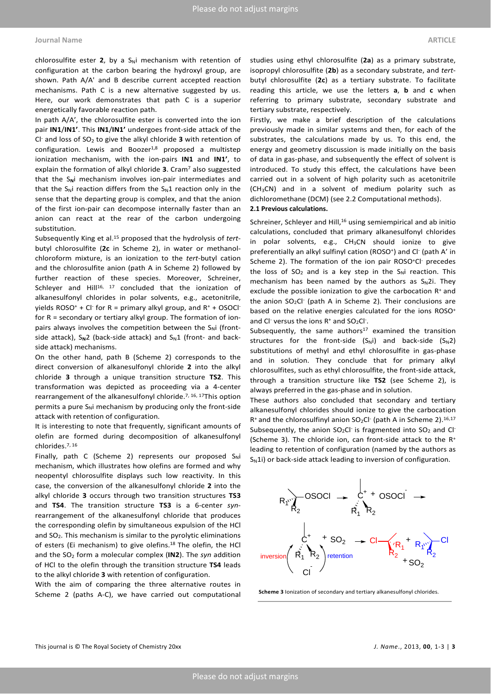#### **Journal Name ARTICLE**

chlorosulfite ester  $2$ , by a  $S_N$ i mechanism with retention of configuration at the carbon bearing the hydroxyl group, are shown. Path A/A' and B describe current accepted reaction mechanisms. Path C is a new alternative suggested by us. Here, our work demonstrates that path C is a superior energetically favorable reaction path.

In path A/A', the chlorosulfite ester is converted into the ion pair **IN1**/**IN1'**. This **IN1**/**IN1'** undergoes front-side attack of the Cl- and loss of SO2 to give the alkyl chloride **3** with retention of configuration. Lewis and Boozer<sup>1,8</sup> proposed a multistep ionization mechanism, with the ion-pairs **IN1** and **IN1'**, to explain the formation of alkyl chloride **3**. Cram7 also suggested that the S<sub>N</sub>i mechanism involves ion-pair intermediates and that the  $S_N$ i reaction differs from the  $S_N1$  reaction only in the sense that the departing group is complex, and that the anion of the first ion-pair can decompose internally faster than an anion can react at the rear of the carbon undergoing substitution.

Subsequently King et al.15 proposed that the hydrolysis of *tert*butyl chlorosulfite (**2c** in Scheme 2), in water or methanolchloroform mixture, is an ionization to the *tert*-butyl cation and the chlorosulfite anion (path A in Scheme 2) followed by further reaction of these species. Moreover, Schreiner, Schleyer and Hill<sup>16, 17</sup> concluded that the ionization of alkanesulfonyl chlorides in polar solvents, e.g., acetonitrile, yields ROSO<sup>+</sup> + Cl<sup>-</sup> for R = primary alkyl group, and  $R^+$  + OSOCl<sup>-</sup> for R = secondary or tertiary alkyl group. The formation of ionpairs always involves the competition between the  $S_N$ i (frontside attack), S<sub>N</sub>2 (back-side attack) and S<sub>N</sub>1 (front- and backside attack) mechanisms.

On the other hand, path B (Scheme 2) corresponds to the direct conversion of alkanesulfonyl chloride **2** into the alkyl chloride **3** through a unique transition structure **TS2**. This transformation was depicted as proceeding via a 4-center rearrangement of the alkanesulfonyl chloride.7, 16, 17This option permits a pure  $S_N$ i mechanism by producing only the front-side attack with retention of configuration.

It is interesting to note that frequently, significant amounts of olefin are formed during decomposition of alkanesulfonyl chlorides.7, 16

Finally, path C (Scheme 2) represents our proposed  $S_Ni$ mechanism, which illustrates how olefins are formed and why neopentyl chlorosulfite displays such low reactivity. In this case, the conversion of the alkanesulfonyl chloride **2** into the alkyl chloride **3** occurs through two transition structures **TS3** and **TS4**. The transition structure **TS3** is a 6-center *syn*rearrangement of the alkanesulfonyl chloride that produces the corresponding olefin by simultaneous expulsion of the HCl and  $SO_2$ . This mechanism is similar to the pyrolytic eliminations of esters (Ei mechanism) to give olefins.<sup>18</sup> The olefin, the HCl and the SO2 form a molecular complex (**IN2**). The *syn* addition of HCl to the olefin through the transition structure **TS4** leads to the alkyl chloride **3** with retention of configuration.

With the aim of comparing the three alternative routes in Scheme 2 (paths A-C), we have carried out computational studies using ethyl chlorosulfite (**2a**) as a primary substrate, isopropyl chlorosulfite (**2b**) as a secondary substrate, and *tert*butyl chlorosulfite (**2c**) as a tertiary substrate. To facilitate reading this article, we use the letters **a**, **b** and **c** when referring to primary substrate, secondary substrate and tertiary substrate, respectively.

Firstly, we make a brief description of the calculations previously made in similar systems and then, for each of the substrates, the calculations made by us. To this end, the energy and geometry discussion is made initially on the basis of data in gas-phase, and subsequently the effect of solvent is introduced. To study this effect, the calculations have been carried out in a solvent of high polarity such as acetonitrile (CH3CN) and in a solvent of medium polarity such as dichloromethane (DCM) (see 2.2 Computational methods).

### **2.1 Previous calculations.**

Schreiner, Schleyer and Hill,<sup>16</sup> using semiempirical and ab initio calculations, concluded that primary alkanesulfonyl chlorides in polar solvents, e.g.,  $CH<sub>3</sub>CN$  should ionize to give preferentially an alkyl sulfinyl cation (ROSO<sup>+</sup>) and Cl<sup>-</sup> (path A' in Scheme 2). The formation of the ion pair ROSO<sup>+</sup>Cl<sup>-</sup> precedes the loss of  $SO_2$  and is a key step in the  $S_N$ i reaction. This mechanism has been named by the authors as  $S_N$ 2i. They exclude the possible ionization to give the carbocation  $R<sup>+</sup>$  and the anion  $SO_2Cl^-$  (path A in Scheme 2). Their conclusions are based on the relative energies calculated for the ions ROSO<sup>+</sup> and CI<sup>-</sup> versus the ions  $R^+$  and  $SO_2Cl^-$ .

Subsequently, the same authors<sup>17</sup> examined the transition structures for the front-side  $(S_Ni)$  and back-side  $(S_N2)$ substitutions of methyl and ethyl chlorosulfite in gas-phase and in solution. They conclude that for primary alkyl chlorosulfites, such as ethyl chlorosulfite, the front-side attack, through a transition structure like **TS2** (see Scheme 2), is always preferred in the gas-phase and in solution.

These authors also concluded that secondary and tertiary alkanesulfonyl chlorides should ionize to give the carbocation  $R<sup>+</sup>$  and the chlorosulfinyl anion SO<sub>2</sub>Cl<sup>-</sup> (path A in Scheme 2).<sup>16,17</sup> Subsequently, the anion  $SO_2Cl^-$  is fragmented into  $SO_2$  and  $Cl^-$ (Scheme 3). The chloride ion, can front-side attack to the  $R^+$ leading to retention of configuration (named by the authors as  $S_N$ 1i) or back-side attack leading to inversion of configuration.



**Scheme 3** Ionization of secondary and tertiary alkanesulfonyl chlorides.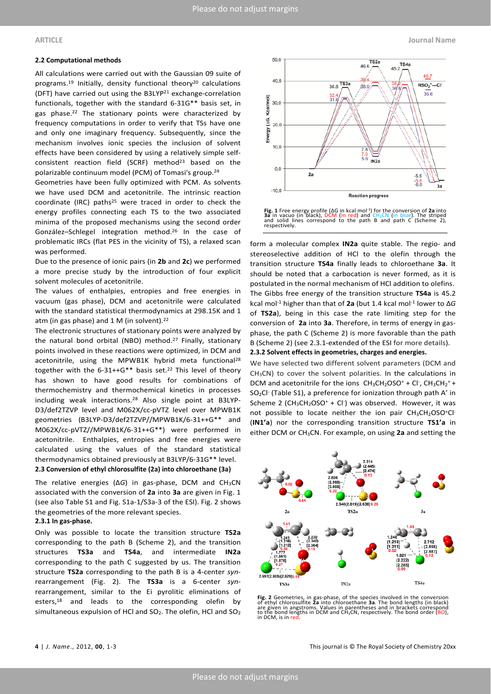### **2.2 Computational methods**

All calculations were carried out with the Gaussian 09 suite of programs.<sup>19</sup> Initially, density functional theory<sup>20</sup> calculations (DFT) have carried out using the B3LYP21 exchange-correlation functionals, together with the standard 6-31G\*\* basis set, in gas phase.22 The stationary points were characterized by frequency computations in order to verify that TSs have one and only one imaginary frequency. Subsequently, since the mechanism involves ionic species the inclusion of solvent effects have been considered by using a relatively simple selfconsistent reaction field (SCRF) method<sup>23</sup> based on the polarizable continuum model (PCM) of Tomasi's group.24

Geometries have been fully optimized with PCM. As solvents we have used DCM and acetonitrile. The intrinsic reaction coordinate (IRC) paths<sup>25</sup> were traced in order to check the energy profiles connecting each TS to the two associated minima of the proposed mechanisms using the second order González–Schlegel integration method.26 In the case of problematic IRCs (flat PES in the vicinity of TS), a relaxed scan was performed.

Due to the presence of ionic pairs (in **2b** and **2c**) we performed a more precise study by the introduction of four explicit solvent molecules of acetonitrile.

The values of enthalpies, entropies and free energies in vacuum (gas phase), DCM and acetonitrile were calculated with the standard statistical thermodynamics at 298.15K and 1 atm (in gas phase) and 1 M (in solvent). 22

The electronic structures of stationary points were analyzed by the natural bond orbital (NBO) method.27 Finally, stationary points involved in these reactions were optimized, in DCM and acetonitrile, using the MPWB1K hybrid meta functional<sup>28</sup> together with the  $6-31++G**$  basis set.<sup>22</sup> This level of theory has shown to have good results for combinations of thermochemistry and thermochemical kinetics in processes including weak interactions.28 Also single point at B3LYP-D3/def2TZVP level and M062X/cc-pVTZ level over MPWB1K geometries (B3LYP-D3/def2TZVP//MPWB1K/6-31++G\*\* and M062X/cc-pVTZ//MPWB1K/6-31++G\*\*) were performed in acetonitrile. Enthalpies, entropies and free energies were calculated using the values of the standard statistical thermodynamics obtained previously at B3LYP/6-31G\*\* level.

**2.3 Conversion of ethyl chlorosulfite (2a) into chloroethane (3a)**

The relative energies (Δ*G*) in gas-phase, DCM and CH3CN associated with the conversion of **2a** into **3a** are given in Fig. 1 (see also Table S1 and Fig. S1a-1/S3a-3 of the ESI). Fig. 2 shows the geometries of the more relevant species.

## **2.3.1 In gas-phase.**

Only was possible to locate the transition structure **TS2a** corresponding to the path B (Scheme 2), and the transition structures **TS3a** and **TS4a**, and intermediate **IN2a** corresponding to the path C suggested by us. The transition structure **TS2a** corresponding to the path B is a 4-center *syn*rearrangement (Fig. 2). The **TS3a** is a 6-center *syn*rearrangement, similar to the Ei pyrolitic eliminations of esters,<sup>18</sup> and leads to the corresponding olefin by simultaneous expulsion of HCl and  $SO_2$ . The olefin, HCl and  $SO_2$ 



Fig. 1 Free energy profile (ΔG in kcal mol<sup>-1</sup>) for the conversion of 2a into<br>3a in vacuo (in black), DCM (in red) and CH<sub>3</sub>CN (in blue). The striped<br>and solid lines correspond to the path B and path C (Scheme 2), respectively.

form a molecular complex **IN2a** quite stable. The regio- and stereoselective addition of HCl to the olefin through the transition structure **TS4a** finally leads to chloroethane **3a**. It should be noted that a carbocation is never formed, as it is postulated in the normal mechanism of HCl addition to olefins. The Gibbs free energy of the transition structure **TS4a** is 45.2 kcal mol-1 higher than that of **2a** (but 1.4 kcal mol-1 lower to Δ*G* of **TS2a**), being in this case the rate limiting step for the conversion of **2a** into **3a**. Therefore, in terms of energy in gasphase, the path C (Scheme 2) is more favorable than the path B (Scheme 2) (see 2.3.1-extended of the ESI for more details). **2.3.2 Solvent effects in geometries, charges and energies.**

We have selected two different solvent parameters (DCM and CH<sub>3</sub>CN) to cover the solvent polarities. In the calculations in DCM and acetonitrile for the ions  $CH_3CH_2OSO^+ + Cl^-$ ,  $CH_3CH_2^+ +$ SO<sub>2</sub>Cl<sup>-</sup> (Table S1), a preference for ionization through path A' in Scheme 2  $(CH_3CH_2OSO^+ + Cl^-)$  was observed. However, it was not possible to locate neither the ion pair  $CH_3CH_2OSO^+Cl^-$ (**IN1'a**) nor the corresponding transition structure **TS1'a** in either DCM or CH3CN. For example, on using **2a** and setting the



Fig. 2 Geometries, in gas-phase, of the species involved in the conversion<br>of ethyl chlorosulfite 2a into chloroethane 3a. The bond lengths (in black)<br>are given in angstroms. Values in parentheses and in brackets correspon in DCM, is in red.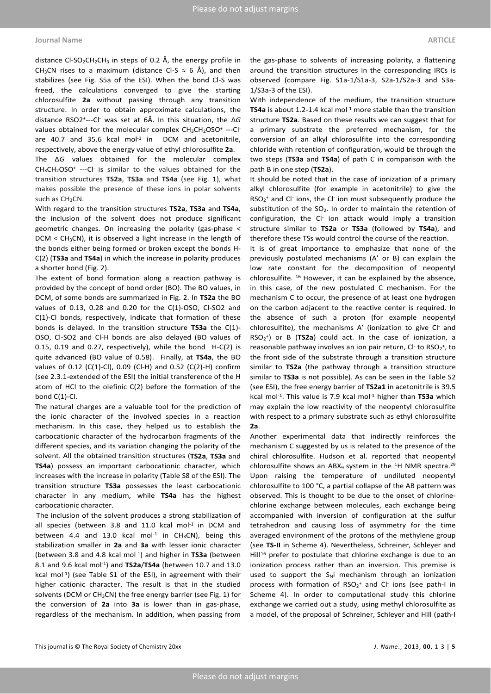#### **Journal Name ARTICLE**

distance Cl-SO<sub>2</sub>CH<sub>2</sub>CH<sub>3</sub> in steps of 0.2 Å, the energy profile in CH<sub>3</sub>CN rises to a maximum (distance Cl-S  $\approx$  6 Å), and then stabilizes (see Fig. S5a of the ESI). When the bond Cl-S was freed, the calculations converged to give the starting chlorosulfite **2a** without passing through any transition structure. In order to obtain approximate calculations, the distance RSO2+---Cl- was set at 6Å. In this situation, the Δ*G* values obtained for the molecular complex CH<sub>3</sub>CH<sub>2</sub>OSO<sup>+</sup> ---Cl<sup>-</sup> are  $40.7$  and  $35.6$  kcal mol $^{-1}$  in DCM and acetonitrile, respectively, above the energy value of ethyl chlorosulfite **2a**.

The Δ*G* values obtained for the molecular complex  $CH<sub>3</sub>CH<sub>2</sub>OSO<sup>+</sup>$  ---Cl<sup>-</sup> is similar to the values obtained for the transition structures **TS2a**, **TS3a** and **TS4a** (see Fig. 1), what makes possible the presence of these ions in polar solvents such as CH<sub>3</sub>CN.

With regard to the transition structures **TS2a**, **TS3a** and **TS4a**, the inclusion of the solvent does not produce significant geometric changes. On increasing the polarity (gas-phase < DCM < CH3CN), it is observed a light increase in the length of the bonds either being formed or broken except the bonds H-C(2) (**TS3a** and **TS4a**) in which the increase in polarity produces a shorter bond (Fig. 2).

The extent of bond formation along a reaction pathway is provided by the concept of bond order (BO). The BO values, in DCM, of some bonds are summarized in Fig. 2. In **TS2a** the BO values of 0.13, 0.28 and 0.20 for the C(1)-OSO, Cl-SO2 and C(1)-Cl bonds, respectively, indicate that formation of these bonds is delayed. In the transition structure **TS3a** the C(1)- OSO, Cl-SO2 and Cl-H bonds are also delayed (BO values of 0.15, 0.19 and 0.27, respectively), while the bond H-C(2) is quite advanced (BO value of 0.58). Finally, at **TS4a**, the BO values of 0.12 (C(1)-Cl), 0.09 (Cl-H) and 0.52 (C(2)-H) confirm (see 2.3.1-extended of the ESI) the initial transference of the H atom of HCl to the olefinic C(2) before the formation of the bond C(1)-Cl.

The natural charges are a valuable tool for the prediction of the ionic character of the involved species in a reaction mechanism. In this case, they helped us to establish the carbocationic character of the hydrocarbon fragments of the different species, and its variation changing the polarity of the solvent. All the obtained transition structures (**TS2a**, **TS3a** and **TS4a**) possess an important carbocationic character, which increases with the increase in polarity (Table S8 of the ESI). The transition structure **TS3a** possesses the least carbocationic character in any medium, while **TS4a** has the highest carbocationic character.

The inclusion of the solvent produces a strong stabilization of all species (between 3.8 and 11.0 kcal mol $^{-1}$  in DCM and between 4.4 and 13.0 kcal mol<sup>-1</sup> in CH<sub>3</sub>CN), being this stabilization smaller in **2a** and **3a** with lesser ionic character (between 3.8 and 4.8 kcal mol-1) and higher in **TS3a** (between 8.1 and 9.6 kcal mol-1) and **TS2a**/**TS4a** (between 10.7 and 13.0 kcal mol<sup>-1</sup>) (see Table S1 of the ESI), in agreement with their higher cationic character. The result is that in the studied solvents (DCM or  $CH<sub>3</sub>CN$ ) the free energy barrier (see Fig. 1) for the conversion of **2a** into **3a** is lower than in gas-phase, regardless of the mechanism. In addition, when passing from

the gas-phase to solvents of increasing polarity, a flattening around the transition structures in the corresponding IRCs is observed (compare Fig. S1a-1/S1a-3, S2a-1/S2a-3 and S3a-1/S3a-3 of the ESI).

With independence of the medium, the transition structure **TS4a** is about 1.2-1.4 kcal mol<sup>-1</sup> more stable than the transition structure **TS2a**. Based on these results we can suggest that for a primary substrate the preferred mechanism, for the conversion of an alkyl chlorosulfite into the corresponding chloride with retention of configuration, would be through the two steps (**TS3a** and **TS4a**) of path C in comparison with the path B in one step (**TS2a**).

It should be noted that in the case of ionization of a primary alkyl chlorosulfite (for example in acetonitrile) to give the  $RSO_2^+$  and Cl<sup>-</sup> ions, the Cl<sup>-</sup> ion must subsequently produce the substitution of the SO<sub>2</sub>. In order to maintain the retention of configuration, the Cl- ion attack would imply a transition structure similar to **TS2a** or **TS3a** (followed by **TS4a**), and therefore these TSs would control the course of the reaction.

It is of great importance to emphasize that none of the previously postulated mechanisms (A' or B) can explain the low rate constant for the decomposition of neopentyl chlorosulfite. 16 However, it can be explained by the absence, in this case, of the new postulated C mechanism. For the mechanism C to occur, the presence of at least one hydrogen on the carbon adjacent to the reactive center is required. In the absence of such a proton (for example neopentyl chlorosulfite), the mechanisms A' (ionization to give Cl- and RSO2 +) or B (**TS2a**) could act. In the case of ionization, a reasonable pathway involves an ion pair return,  $Cl^-$  to RSO<sub>2</sub><sup>+</sup>, to the front side of the substrate through a transition structure similar to **TS2a** (the pathway through a transition structure similar to **TS3a** is not possible). As can be seen in the Table S2 (see ESI), the free energy barrier of **TS2a1** in acetonitrile is 39.5 kcal mol-1. This value is 7.9 kcal mol-1 higher than **TS3a** which may explain the low reactivity of the neopentyl chlorosulfite with respect to a primary substrate such as ethyl chlorosulfite **2a**.

Another experimental data that indirectly reinforces the mechanism C suggested by us is related to the presence of the chiral chlorosulfite. Hudson et al. reported that neopentyl chlorosulfite shows an ABX<sub>9</sub> system in the <sup>1</sup>H NMR spectra.<sup>29</sup> Upon raising the temperature of undiluted neopentyl chlorosulfite to 100 °C, a partial collapse of the AB pattern was observed. This is thought to be due to the onset of chlorinechlorine exchange between molecules, each exchange being accompanied with inversion of configuration at the sulfur tetrahedron and causing loss of asymmetry for the time averaged environment of the protons of the methylene group (see **TS-II** in Scheme 4). Nevertheless, Schreiner, Schleyer and Hill<sup>16</sup> prefer to postulate that chlorine exchange is due to an ionization process rather than an inversion. This premise is used to support the  $S_N$ i mechanism through an ionization process with formation of  $RSO_2^+$  and CI ions (see path-I in Scheme 4). In order to computational study this chlorine exchange we carried out a study, using methyl chlorosulfite as a model, of the proposal of Schreiner, Schleyer and Hill (path-I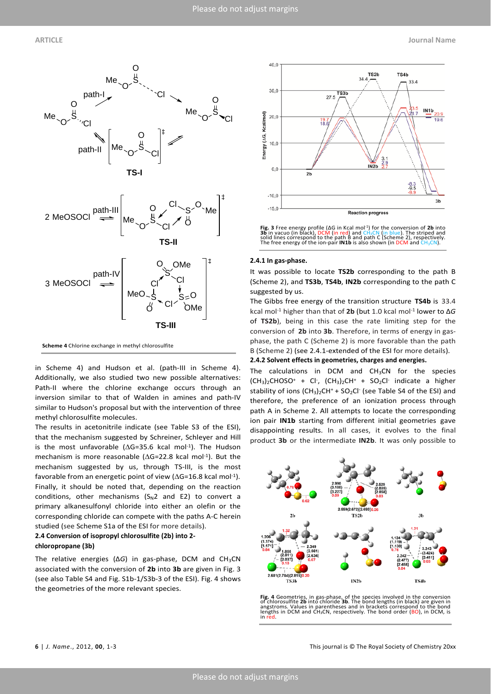



in Scheme 4) and Hudson et al. (path-III in Scheme 4). Additionally, we also studied two new possible alternatives: Path-II where the chlorine exchange occurs through an inversion similar to that of Walden in amines and path-IV similar to Hudson's proposal but with the intervention of three methyl chlorosulfite molecules.

The results in acetonitrile indicate (see Table S3 of the ESI), that the mechanism suggested by Schreiner, Schleyer and Hill is the most unfavorable (∆G=35.6 kcal mol-1). The Hudson mechanism is more reasonable (∆G=22.8 kcal mol-1). But the mechanism suggested by us, through TS-III, is the most favorable from an energetic point of view ( $\Delta$ G=16.8 kcal mol<sup>-1</sup>). Finally, it should be noted that, depending on the reaction conditions, other mechanisms  $(S_N2$  and E2) to convert a primary alkanesulfonyl chloride into either an olefin or the corresponding chloride can compete with the paths A-C herein studied (see Scheme S1a of the ESI for more details).

### **2.4 Conversion of isopropyl chlorosulfite (2b) into 2-**

#### **chloropropane (3b)**

The relative energies (Δ*G*) in gas-phase, DCM and CH3CN associated with the conversion of **2b** into **3b** are given in Fig. 3 (see also Table S4 and Fig. S1b-1/S3b-3 of the ESI). Fig. 4 shows the geometries of the more relevant species.





#### **2.4.1 In gas-phase.**

It was possible to locate **TS2b** corresponding to the path B (Scheme 2), and **TS3b**, **TS4b**, **IN2b** corresponding to the path C suggested by us.

The Gibbs free energy of the transition structure **TS4b** is 33.4 kcal mol-1 higher than that of **2b** (but 1.0 kcal mol-1 lower to Δ*G* of **TS2b**), being in this case the rate limiting step for the conversion of **2b** into **3b**. Therefore, in terms of energy in gasphase, the path C (Scheme 2) is more favorable than the path B (Scheme 2) (see 2.4.1-extended of the ESI for more details). **2.4.2 Solvent effects in geometries, charges and energies.**

The calculations in DCM and  $CH<sub>3</sub>CN$  for the species  $(CH<sub>3</sub>)<sub>2</sub>CHOSO<sup>+</sup> + Cl<sup>-</sup>, (CH<sub>3</sub>)<sub>2</sub>CH<sup>+</sup> + SO<sub>2</sub>Cl<sup>-</sup> indicate a higher$ stability of ions  $(CH_3)_2CH^+$  + SO<sub>2</sub>Cl<sup>-</sup> (see Table S4 of the ESI) and therefore, the preference of an ionization process through path A in Scheme 2. All attempts to locate the corresponding ion pair **IN1b** starting from different initial geometries gave disappointing results. In all cases, it evolves to the final product **3b** or the intermediate **IN2b**. It was only possible to



**Fig. 4** Geometries, in gas-phase, of the species involved in the conversion of chlorosultite 2**b** into chloride 3b. The bond lengths (in black) are given in angstroms. Values in parentheses and in brackets correspond to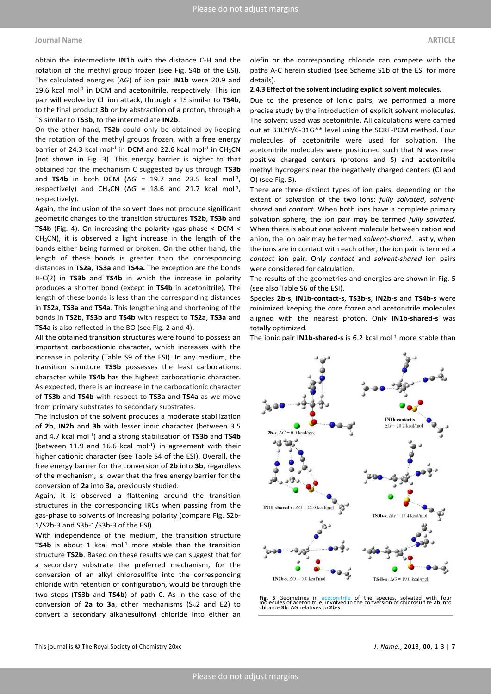### **Journal Name ARTICLE**

obtain the intermediate **IN1b** with the distance C-H and the rotation of the methyl group frozen (see Fig. S4b of the ESI). The calculated energies (Δ*G*) of ion pair **IN1b** were 20.9 and 19.6 kcal mol-1 in DCM and acetonitrile, respectively. This ion pair will evolve by Cl- ion attack, through a TS similar to **TS4b**, to the final product **3b** or by abstraction of a proton, through a TS similar to **TS3b**, to the intermediate **IN2b**.

On the other hand, **TS2b** could only be obtained by keeping the rotation of the methyl groups frozen, with a free energy barrier of 24.3 kcal mol<sup>-1</sup> in DCM and 22.6 kcal mol<sup>-1</sup> in CH<sub>3</sub>CN (not shown in Fig. 3). This energy barrier is higher to that obtained for the mechanism C suggested by us through **TS3b** and **TS4b** in both DCM (Δ*G* = 19.7 and 23.5 kcal mol-1, respectively) and CH<sub>3</sub>CN ( $\Delta G$  = 18.6 and 21.7 kcal mol<sup>-1</sup>, respectively).

Again, the inclusion of the solvent does not produce significant geometric changes to the transition structures **TS2b**, **TS3b** and **TS4b** (Fig. 4). On increasing the polarity (gas-phase < DCM <  $CH<sub>3</sub>CN$ ), it is observed a light increase in the length of the bonds either being formed or broken. On the other hand, the length of these bonds is greater than the corresponding distances in **TS2a**, **TS3a** and **TS4a.** The exception are the bonds H-C(2) in **TS3b** and **TS4b** in which the increase in polarity produces a shorter bond (except in **TS4b** in acetonitrile). The length of these bonds is less than the corresponding distances in **TS2a**, **TS3a** and **TS4a**. This lengthening and shortening of the bonds in **TS2b**, **TS3b** and **TS4b** with respect to **TS2a**, **TS3a** and **TS4a** is also reflected in the BO (see Fig. 2 and 4).

All the obtained transition structures were found to possess an important carbocationic character, which increases with the increase in polarity (Table S9 of the ESI). In any medium, the transition structure **TS3b** possesses the least carbocationic character while **TS4b** has the highest carbocationic character. As expected, there is an increase in the carbocationic character of **TS3b** and **TS4b** with respect to **TS3a** and **TS4a** as we move from primary substrates to secondary substrates.

The inclusion of the solvent produces a moderate stabilization of **2b**, **IN2b** and **3b** with lesser ionic character (between 3.5 and 4.7 kcal mol-1) and a strong stabilization of **TS3b** and **TS4b** (between 11.9 and 16.6 kcal mol $^{-1}$ ) in agreement with their higher cationic character (see Table S4 of the ESI). Overall, the free energy barrier for the conversion of **2b** into **3b**, regardless of the mechanism, is lower that the free energy barrier for the conversion of **2a** into **3a**, previously studied.

Again, it is observed a flattening around the transition structures in the corresponding IRCs when passing from the gas-phase to solvents of increasing polarity (compare Fig. S2b-1/S2b-3 and S3b-1/S3b-3 of the ESI).

With independence of the medium, the transition structure TS4b is about 1 kcal mol<sup>-1</sup> more stable than the transition structure **TS2b**. Based on these results we can suggest that for a secondary substrate the preferred mechanism, for the conversion of an alkyl chlorosulfite into the corresponding chloride with retention of configuration, would be through the two steps (**TS3b** and **TS4b**) of path C. As in the case of the conversion of  $2a$  to  $3a$ , other mechanisms ( $S_N$ 2 and E2) to convert a secondary alkanesulfonyl chloride into either an

olefin or the corresponding chloride can compete with the paths A-C herein studied (see Scheme S1b of the ESI for more details).

#### **2.4.3 Effect of the solvent including explicit solvent molecules.**

Due to the presence of ionic pairs, we performed a more precise study by the introduction of explicit solvent molecules. The solvent used was acetonitrile. All calculations were carried out at B3LYP/6-31G\*\* level using the SCRF-PCM method. Four molecules of acetonitrile were used for solvation. The acetonitrile molecules were positioned such that N was near positive charged centers (protons and S) and acetonitrile methyl hydrogens near the negatively charged centers (Cl and O) (see Fig. 5).

There are three distinct types of ion pairs, depending on the extent of solvation of the two ions: *fully solvated*, *solventshared* and *contact*. When both ions have a complete primary solvation sphere, the ion pair may be termed *fully solvated*. When there is about one solvent molecule between cation and anion, the ion pair may be termed *solvent-shared*. Lastly, when the ions are in contact with each other, the ion pair is termed a *contact* ion pair. Only *contact* and *solvent-shared* ion pairs were considered for calculation.

The results of the geometries and energies are shown in Fig. 5 (see also Table S6 of the ESI).

Species **2b-s**, **IN1b-contact-s**, **TS3b-s**, **IN2b-s** and **TS4b-s** were minimized keeping the core frozen and acetonitrile molecules aligned with the nearest proton. Only **IN1b-shared-s** was totally optimized.

The ionic pair **IN1b-shared-s** is 6.2 kcal mol<sup>-1</sup> more stable than



**Fig. 5** Geometries in acetonitrile of the species, solvated with four molecules of acetonitrile, involved in the conversion of chlorosulfite **2b** into chloride **3b**. Δ*G* relatives to **2b-s**.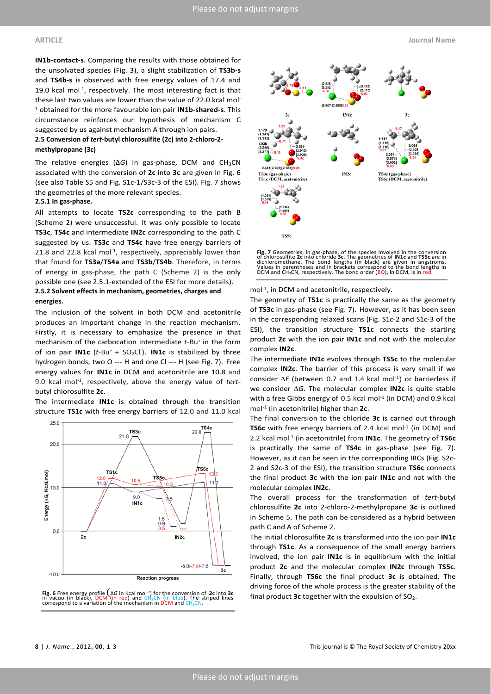**IN1b-contact-s**. Comparing the results with those obtained for the unsolvated species (Fig. 3), a slight stabilization of **TS3b-s** and **TS4b-s** is observed with free energy values of 17.4 and 19.0 kcal mol-1, respectively. The most interesting fact is that these last two values are lower than the value of 22.0 kcal mol-<sup>1</sup> obtained for the more favourable ion pair **IN1b-shared-s**. This circumstance reinforces our hypothesis of mechanism C suggested by us against mechanism A through ion pairs.

# **2.5 Conversion of** *tert***-butyl chlorosulfite (2c) into 2-chloro-2 methylpropane (3c)**

The relative energies (Δ*G*) in gas-phase, DCM and CH3CN associated with the conversion of **2c** into **3c** are given in Fig. 6 (see also Table S5 and Fig. S1c-1/S3c-3 of the ESI). Fig. 7 shows the geometries of the more relevant species.

### **2.5.1 In gas-phase.**

All attempts to locate **TS2c** corresponding to the path B (Scheme 2) were unsuccessful. It was only possible to locate **TS3c**, **TS4c** and intermediate **IN2c** corresponding to the path C suggested by us. **TS3c** and **TS4c** have free energy barriers of 21.8 and 22.8 kcal mol<sup>-1</sup>, respectively, appreciably lower than that found for **TS3a**/**TS4a** and **TS3b**/**TS4b**. Therefore, in terms of energy in gas-phase, the path C (Scheme 2) is the only possible one (see 2.5.1-extended of the ESI for more details).

# **2.5.2 Solvent effects in mechanism, geometries, charges and energies.**

The inclusion of the solvent in both DCM and acetonitrile produces an important change in the reaction mechanism. Firstly, it is necessary to emphasize the presence in that mechanism of the carbocation intermediate *t*-Bu+ in the form of ion pair **IN1c** (*t*-Bu+ + SO2Cl- ). **IN1c** is stabilized by three hydrogen bonds, two O --- H and one Cl --- H (see Fig. 7). Free energy values for **IN1c** in DCM and acetonitrile are 10.8 and 9.0 kcal mol-1, respectively, above the energy value of *tert*butyl chlorosulfite **2c**.

The intermediate **IN1c** is obtained through the transition structure **TS1c** with free energy barriers of 12.0 and 11.0 kcal



in vacuo (in black), DCM`(in red) and CH3CN (in blue). The striped lines<br>correspond to a variation of the mechanism in DCM and CH<sub>3</sub>CN.



**Fig. 7** Geometries, in gas-phase, of the species involved in the conversion of chlorosulfite 2c into chloride 3c. The geometries of **INIc and TSSc** are in of chloromethane. The bond lengths (in black) are given in angstr

mol-1, in DCM and acetonitrile, respectively.

The geometry of **TS1c** is practically the same as the geometry of **TS3c** in gas-phase (see Fig. 7). However, as it has been seen in the corresponding relaxed scans (Fig. S1c-2 and S1c-3 of the ESI), the transition structure **TS1c** connects the starting product **2c** with the ion pair **IN1c** and not with the molecular complex **IN2c**.

The intermediate **IN1c** evolves through **TS5c** to the molecular complex **IN2c**. The barrier of this process is very small if we consider  $\Delta E$  (between 0.7 and 1.4 kcal mol<sup>-1</sup>) or barrierless if we consider ∆*G*. The molecular complex **IN2c** is quite stable with a free Gibbs energy of 0.5 kcal mol<sup>-1</sup> (in DCM) and 0.9 kcal mol-1 (in acetonitrile) higher than **2c**.

The final conversion to the chloride **3c** is carried out through **TS6c** with free energy barriers of 2.4 kcal mol<sup>-1</sup> (in DCM) and 2.2 kcal mol-1 (in acetonitrile) from **IN1c**. The geometry of **TS6c** is practically the same of **TS4c** in gas-phase (see Fig. 7). However, as it can be seen in the corresponding IRCs (Fig. S2c-2 and S2c-3 of the ESI), the transition structure **TS6c** connects the final product **3c** with the ion pair **IN1c** and not with the molecular complex **IN2c**.

The overall process for the transformation of *tert*-butyl chlorosulfite **2c** into 2-chloro-2-methylpropane **3c** is outlined in Scheme 5. The path can be considered as a hybrid between path C and A of Scheme 2.

The initial chlorosulfite **2c** is transformed into the ion pair **IN1c** through **TS1c**. As a consequence of the small energy barriers involved, the ion pair **IN1c** is in equilibrium with the initial product **2c** and the molecular complex **IN2c** through **TS5c**. Finally, through **TS6c** the final product **3c** is obtained. The driving force of the whole process is the greater stability of the final product **3c** together with the expulsion of SO2. **Fig. 6** Free energy profile (Δ*<sup>G</sup>* in Kcal mol-1) for the conversion of **2c** into **3c**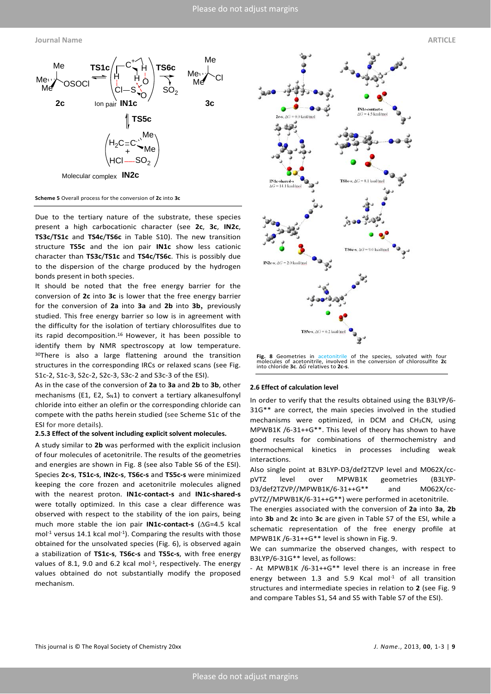

**Scheme 5** Overall process for the conversion of **2c** into **3c**

Due to the tertiary nature of the substrate, these species present a high carbocationic character (see **2c**, **3c**, **IN2c**, **TS3c**/**TS1c** and **TS4c**/**TS6c** in Table S10). The new transition structure **TS5c** and the ion pair **IN1c** show less cationic character than **TS3c**/**TS1c** and **TS4c**/**TS6c**. This is possibly due to the dispersion of the charge produced by the hydrogen bonds present in both species.

It should be noted that the free energy barrier for the conversion of **2c** into **3c** is lower that the free energy barrier for the conversion of **2a** into **3a** and **2b** into **3b**, previously studied. This free energy barrier so low is in agreement with the difficulty for the isolation of tertiary chlorosulfites due to its rapid decomposition.16 However, it has been possible to identify them by NMR spectroscopy at low temperature. 30There is also a large flattening around the transition structures in the corresponding IRCs or relaxed scans (see Fig. S1c-2, S1c-3, S2c-2, S2c-3, S3c-2 and S3c-3 of the ESI).

As in the case of the conversion of **2a** to **3a** and **2b** to **3b**, other mechanisms (E1, E2,  $S_N1$ ) to convert a tertiary alkanesulfonyl chloride into either an olefin or the corresponding chloride can compete with the paths herein studied (see Scheme S1c of the ESI for more details).

#### **2.5.3 Effect of the solvent including explicit solvent molecules.**

A study similar to **2b** was performed with the explicit inclusion of four molecules of acetonitrile. The results of the geometries and energies are shown in Fig. 8 (see also Table S6 of the ESI). Species **2c-s**, **TS1c-s**, **IN2c-s**, **TS6c-s** and **TS5c-s** were minimized keeping the core frozen and acetonitrile molecules aligned with the nearest proton. **IN1c-contact-s** and **IN1c-shared-s** were totally optimized. In this case a clear difference was observed with respect to the stability of the ion pairs, being much more stable the ion pair **IN1c-contact-s** (∆G=4.5 kcal mol<sup>-1</sup> versus 14.1 kcal mol<sup>-1</sup>). Comparing the results with those obtained for the unsolvated species (Fig. 6), is observed again a stabilization of **TS1c-s**, **TS6c-s** and **TS5c-s**, with free energy values of 8.1, 9.0 and 6.2 kcal mol $^{-1}$ , respectively. The energy values obtained do not substantially modify the proposed mechanism.



**Fig. 8** Geometries in acetonitrile of the species, solvated with four molecules of acetonitrile, involved in the conversion of chlorosulfite **2c** into chloride **3c**. Δ*G* relatives to **2c-s**.

#### **2.6 Effect of calculation level**

In order to verify that the results obtained using the B3LYP/6- 31G\*\* are correct, the main species involved in the studied mechanisms were optimized, in DCM and  $CH<sub>3</sub>CN$ , using MPWB1K /6-31++G\*\*. This level of theory has shown to have good results for combinations of thermochemistry and thermochemical kinetics in processes including weak interactions.

Also single point at B3LYP-D3/def2TZVP level and M062X/ccpVTZ level over MPWB1K geometries (B3LYP-D3/def2TZVP//MPWB1K/6-31++G\*\* and M062X/ccpVTZ//MPWB1K/6-31++G\*\*) were performed in acetonitrile.

The energies associated with the conversion of **2a** into **3a**, **2b** into **3b** and **2c** into **3c** are given in Table S7 of the ESI, while a schematic representation of the free energy profile at MPWB1K /6-31++G\*\* level is shown in Fig. 9.

We can summarize the observed changes, with respect to B3LYP/6-31G\*\* level, as follows:

- At MPWB1K /6-31++G\*\* level there is an increase in free energy between 1.3 and 5.9 Kcal mol $^{-1}$  of all transition structures and intermediate species in relation to **2** (see Fig. 9 and compare Tables S1, S4 and S5 with Table S7 of the ESI).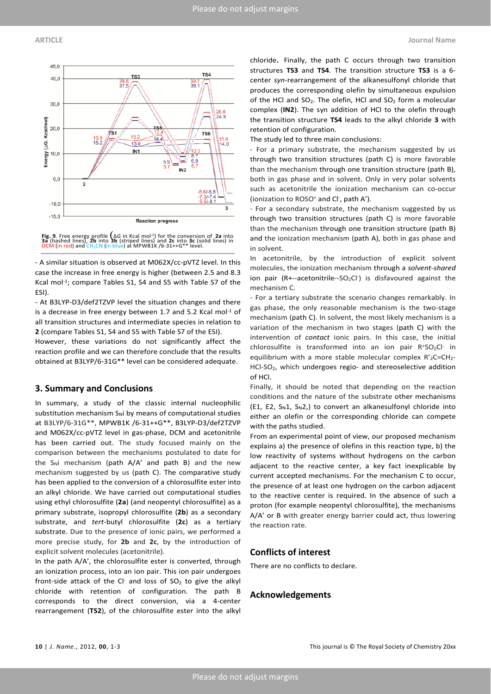



- A similar situation is observed at M062X/cc-pVTZ level. In this case the increase in free energy is higher (between 2.5 and 8.3 Kcal mol<sup>-1</sup>; compare Tables S1, S4 and S5 with Table S7 of the ESI).

- At B3LYP-D3/def2TZVP level the situation changes and there is a decrease in free energy between 1.7 and 5.2 Kcal mol<sup>-1</sup> of all transition structures and intermediate species in relation to **2** (compare Tables S1, S4 and S5 with Table S7 of the ESI).

However, these variations do not significantly affect the reaction profile and we can therefore conclude that the results obtained at B3LYP/6-31G\*\* level can be considered adequate.

### **3. Summary and Conclusions**

In summary, a study of the classic internal nucleophilic substitution mechanism  $S_N$ i by means of computational studies at B3LYP/6-31G\*\*, MPWB1K /6-31++G\*\*, B3LYP-D3/def2TZVP and M062X/cc-pVTZ level in gas-phase, DCM and acetonitrile has been carried out. The study focused mainly on the comparison between the mechanisms postulated to date for the  $S_N$ i mechanism (path  $A/A'$  and path B) and the new mechanism suggested by us (path C). The comparative study has been applied to the conversion of a chlorosulfite ester into an alkyl chloride. We have carried out computational studies using ethyl chlorosulfite (**2a**) (and neopentyl chlorosulfite) as a primary substrate, isopropyl chlorosulfite (**2b**) as a secondary substrate, and *tert*-butyl chlorosulfite (**2c**) as a tertiary substrate. Due to the presence of ionic pairs, we performed a more precise study, for **2b** and **2c**, by the introduction of explicit solvent molecules (acetonitrile).

In the path A/A', the chlorosulfite ester is converted, through an ionization process, into an ion pair. This ion pair undergoes front-side attack of the CI and loss of  $SO<sub>2</sub>$  to give the alkyl chloride with retention of configuration. The path B corresponds to the direct conversion, via a 4-center rearrangement (**TS2**), of the chlorosulfite ester into the alkyl chloride. Finally, the path C occurs through two transition structures **TS3** and **TS4**. The transition structure **TS3** is a 6 center *syn*-rearrangement of the alkanesulfonyl chloride that produces the corresponding olefin by simultaneous expulsion of the HCl and  $SO_2$ . The olefin, HCl and  $SO_2$  form a molecular complex (**IN2**). The syn addition of HCl to the olefin through the transition structure **TS4** leads to the alkyl chloride **3** with retention of configuration.

The study led to three main conclusions:

- For a primary substrate, the mechanism suggested by us through two transition structures (path C) is more favorable than the mechanism through one transition structure (path B), both in gas phase and in solvent. Only in very polar solvents such as acetonitrile the ionization mechanism can co-occur (ionization to ROSO<sup>+</sup> and Cl<sup>-</sup>, path A').

- For a secondary substrate, the mechanism suggested by us through two transition structures (path C) is more favorable than the mechanism through one transition structure (path B) and the ionization mechanism (path A), both in gas phase and in solvent.

In acetonitrile, by the introduction of explicit solvent molecules, the ionization mechanism through a *solvent-shared* ion pair (R+--acetonitrile--SO<sub>2</sub>Cl<sup>-</sup>) is disfavoured against the mechanism C.

- For a tertiary substrate the scenario changes remarkably. In gas phase, the only reasonable mechanism is the two-stage mechanism (path C). In solvent, the most likely mechanism is a variation of the mechanism in two stages (path C) with the intervention of *contact* ionic pairs. In this case, the initial chlorosulfite is transformed into an ion pair  $R^+SO_2Cl^-$  in equilibrium with a more stable molecular complex R'2C=CH2-HCl-SO2, which undergoes regio- and stereoselective addition of HCl.

Finally, it should be noted that depending on the reaction conditions and the nature of the substrate other mechanisms (E1, E2,  $S_N1$ ,  $S_N2$ ,) to convert an alkanesulfonyl chloride into either an olefin or the corresponding chloride can compete with the paths studied.

From an experimental point of view, our proposed mechanism explains a) the presence of olefins in this reaction type, b) the low reactivity of systems without hydrogens on the carbon adjacent to the reactive center, a key fact inexplicable by current accepted mechanisms. For the mechanism C to occur, the presence of at least one hydrogen on the carbon adjacent to the reactive center is required. In the absence of such a proton (for example neopentyl chlorosulfite), the mechanisms A/A' or B with greater energy barrier could act, thus lowering the reaction rate.

### **Conflicts of interest**

There are no conflicts to declare.

# **Acknowledgements**